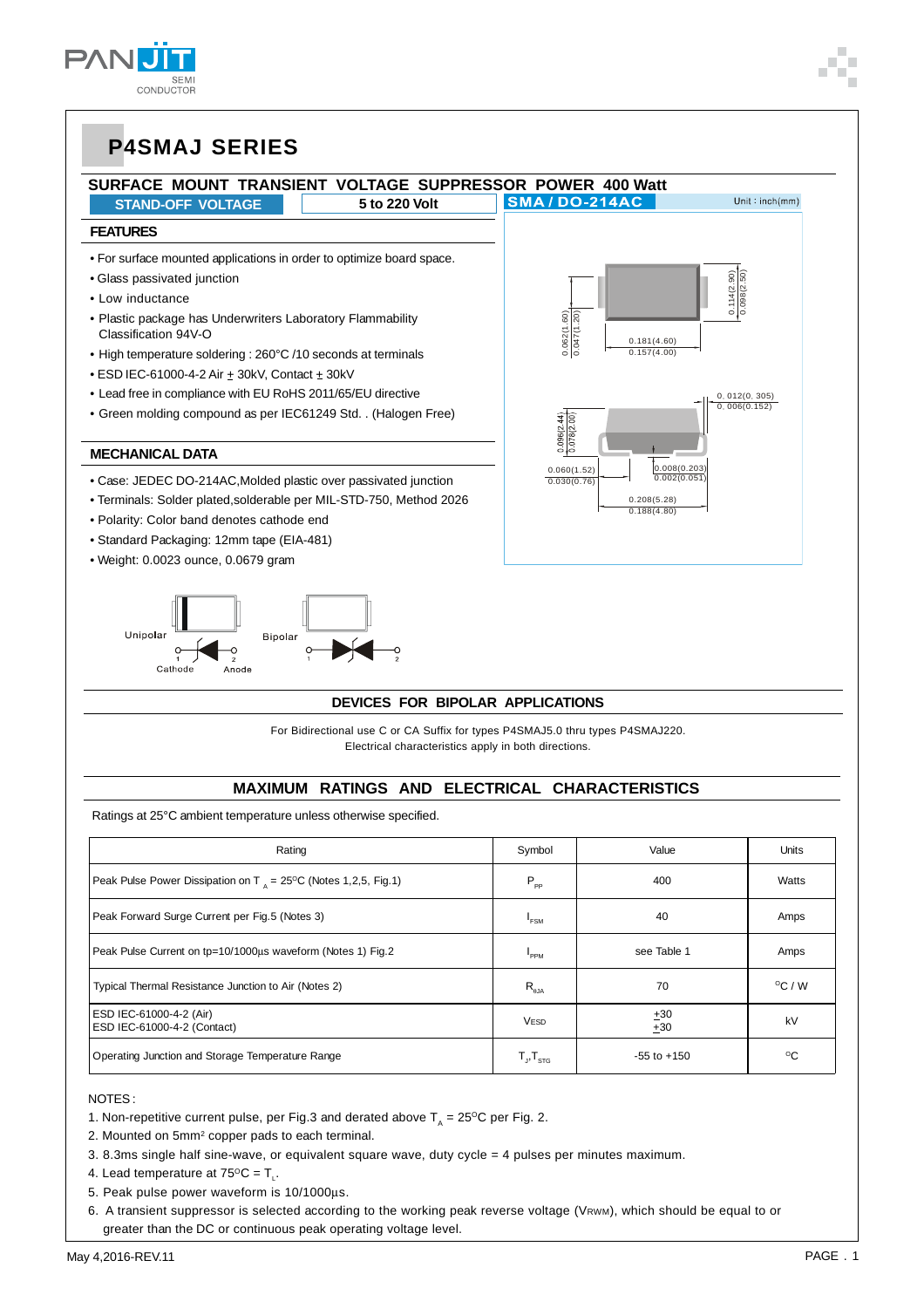



#### **DEVICES FOR BIPOLAR APPLICATIONS**

 For Bidirectional use C or CA Suffix for types P4SMAJ5.0 thru types P4SMAJ220. Electrical characteristics apply in both directions.

#### **MAXIMUM RATINGS AND ELECTRICAL CHARACTERISTICS**

Ratings at 25°C ambient temperature unless otherwise specified.

Anode

| Rating                                                                            | Symbol                 | Value           | Units            |
|-----------------------------------------------------------------------------------|------------------------|-----------------|------------------|
| Peak Pulse Power Dissipation on T $_{4}$ = 25 <sup>o</sup> C (Notes 1,2,5, Fig.1) | $P_{\rho \rho}$        | 400             | Watts            |
| Peak Forward Surge Current per Fig.5 (Notes 3)                                    | <sup>1</sup> FSM       | 40              | Amps             |
| Peak Pulse Current on tp=10/1000us waveform (Notes 1) Fig.2                       | <b>PPM</b>             | see Table 1     | Amps             |
| Typical Thermal Resistance Junction to Air (Notes 2)                              | $R_{a,\text{IA}}$      | 70              | $^{\circ}$ C / W |
| ESD IEC-61000-4-2 (Air)<br>ESD IEC-61000-4-2 (Contact)                            | <b>VESD</b>            | ±30<br>±30      | kV               |
| Operating Junction and Storage Temperature Range                                  | $T_{\rm p}T_{\rm src}$ | $-55$ to $+150$ | °C               |

#### NOTES :

- 1. Non-repetitive current pulse, per Fig.3 and derated above  $T<sub>a</sub> = 25^{\circ}$ C per Fig. 2.
- 2. Mounted on 5mm<sup>2</sup> copper pads to each terminal.
- 3. 8.3ms single half sine-wave, or equivalent square wave, duty cycle = 4 pulses per minutes maximum.
- 4. Lead temperature at  $75^{\circ}$ C = T.

Cathode

- 5. Peak pulse power waveform is 10/1000μs.
- 6. A transient suppressor is selected according to the working peak reverse voltage (VRWM), which should be equal to or greater than the DC or continuous peak operating voltage level.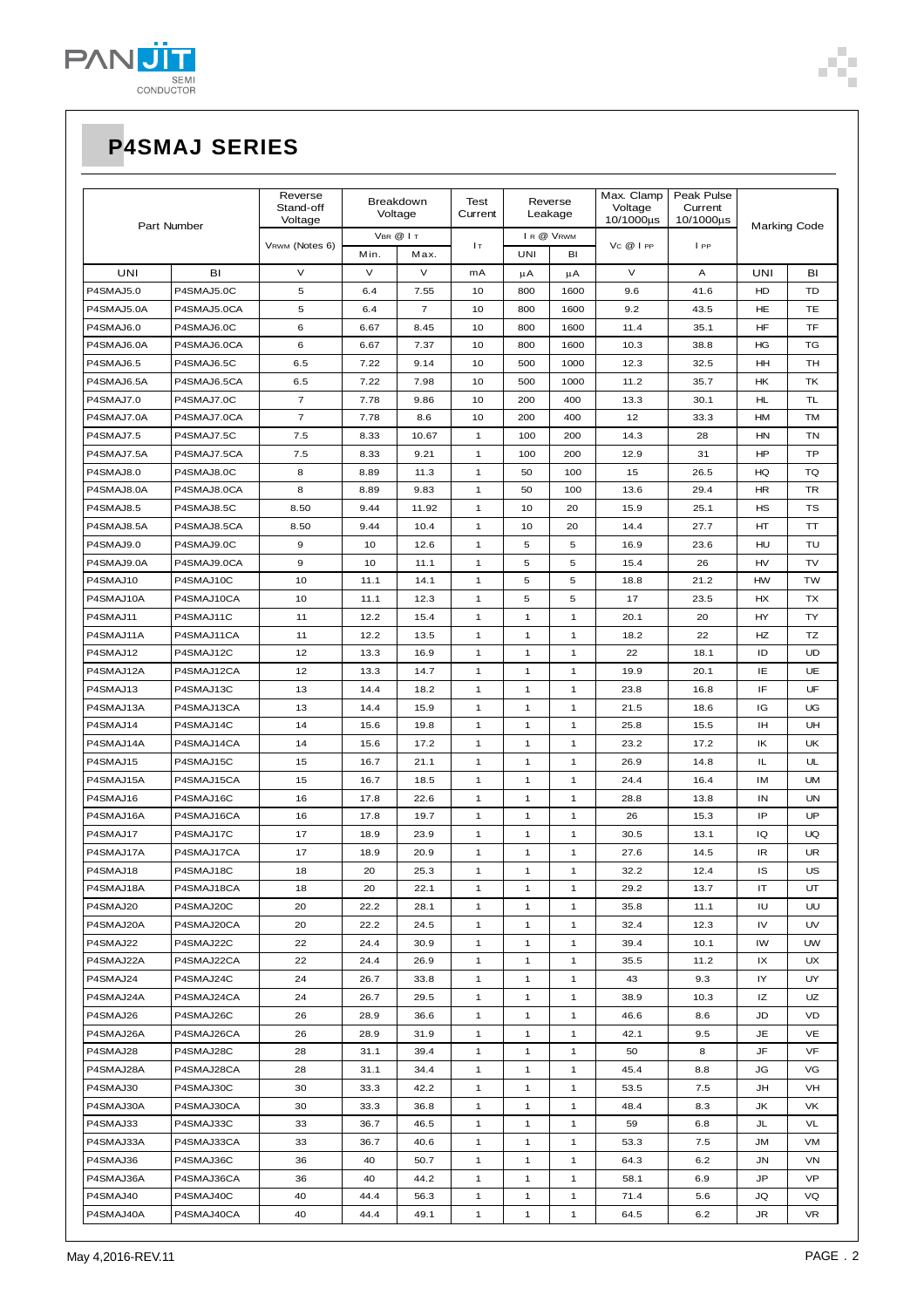

| Part Number |             | Reverse<br>Stand-off<br>Voltage | Breakdown<br>Voltage |                | Test<br>Current | Reverse<br>Leakage     |              | Max. Clamp<br>Voltage<br>10/1000us | Peak Pulse<br>Current<br>10/1000µs | <b>Marking Code</b> |           |
|-------------|-------------|---------------------------------|----------------------|----------------|-----------------|------------------------|--------------|------------------------------------|------------------------------------|---------------------|-----------|
|             |             | VRWM (Notes 6)                  | VBR @ IT<br>Min.     |                | Iт              | IR @ VRWM<br>UNI<br>BI |              | Vc@lpp                             | IPP                                |                     |           |
| UNI         | BI          | V                               | $\vee$               | Max.<br>V      | mA              | μA                     | μA           | V                                  | Α                                  | UNI                 | BI        |
| P4SMAJ5.0   | P4SMAJ5.0C  | 5                               | 6.4                  | 7.55           | 10              | 800                    | 1600         | 9.6                                | 41.6                               | HD                  | TD        |
| P4SMAJ5.0A  | P4SMAJ5.0CA | 5                               | 6.4                  | $\overline{7}$ | 10              | 800                    | 1600         | 9.2                                | 43.5                               | HE                  | TЕ        |
| P4SMAJ6.0   | P4SMAJ6.0C  | 6                               | 6.67                 | 8.45           | 10              | 800                    | 1600         | 11.4                               | 35.1                               | HF                  | TF        |
| P4SMAJ6.0A  | P4SMAJ6.0CA | 6                               | 6.67                 | 7.37           | 10              | 800                    | 1600         | 10.3                               | 38.8                               | HG                  | TG        |
| P4SMAJ6.5   | P4SMAJ6.5C  | 6.5                             | 7.22                 | 9.14           | 10              | 500                    | 1000         | 12.3                               | 32.5                               | HH                  | TН        |
| P4SMAJ6.5A  | P4SMAJ6.5CA | 6.5                             | 7.22                 | 7.98           | 10              | 500                    | 1000         | 11.2                               | 35.7                               | HK                  | ТK        |
| P4SMAJ7.0   | P4SMAJ7.0C  | $\overline{\mathbf{7}}$         | 7.78                 | 9.86           | 10              | 200                    | 400          | 13.3                               | 30.1                               | HL                  | TL        |
| P4SMAJ7.0A  | P4SMAJ7.0CA | $\overline{7}$                  | 7.78                 | 8.6            | 10              | 200                    | 400          | 12                                 | 33.3                               | HM                  | TM        |
| P4SMAJ7.5   | P4SMAJ7.5C  | 7.5                             | 8.33                 | 10.67          | $\mathbf{1}$    | 100                    | 200          | 14.3                               | 28                                 | <b>HN</b>           | TN        |
| P4SMAJ7.5A  | P4SMAJ7.5CA | 7.5                             | 8.33                 | 9.21           | $\mathbf{1}$    | 100                    | 200          | 12.9                               | 31                                 | HP                  | TP        |
| P4SMAJ8.0   | P4SMAJ8.0C  | 8                               | 8.89                 | 11.3           | 1               | 50                     | 100          | 15                                 | 26.5                               | HQ                  | TQ        |
| P4SMAJ8.0A  | P4SMAJ8.0CA | 8                               | 8.89                 | 9.83           | $\mathbf{1}$    | 50                     | 100          | 13.6                               | 29.4                               | <b>HR</b>           | TR        |
| P4SMAJ8.5   | P4SMAJ8.5C  | 8.50                            | 9.44                 | 11.92          | $\mathbf{1}$    | 10                     | 20           | 15.9                               | 25.1                               | HS                  | TS        |
| P4SMAJ8.5A  | P4SMAJ8.5CA | 8.50                            | 9.44                 | 10.4           | $\mathbf{1}$    | 10                     | 20           | 14.4                               | 27.7                               | HT                  | ТT        |
| P4SMAJ9.0   | P4SMAJ9.0C  | 9                               | 10                   | 12.6           | 1               | 5                      | 5            | 16.9                               | 23.6                               | HU                  | TU        |
| P4SMAJ9.0A  | P4SMAJ9.0CA | 9                               | 10                   | 11.1           | 1               | 5                      | 5            | 15.4                               | 26                                 | HV                  | TV        |
| P4SMAJ10    | P4SMAJ10C   | 10                              | 11.1                 | 14.1           | 1               | 5                      | 5            | 18.8                               | 21.2                               | <b>HW</b>           | <b>TW</b> |
| P4SMAJ10A   | P4SMAJ10CA  | 10                              | 11.1                 | 12.3           | 1               | 5                      | 5            | 17                                 | 23.5                               | HX                  | TX        |
| P4SMAJ11    | P4SMAJ11C   | 11                              | 12.2                 | 15.4           | 1               | $\mathbf{1}$           | $\mathbf{1}$ | 20.1                               | 20                                 | HY                  | TY        |
| P4SMAJ11A   | P4SMAJ11CA  | 11                              | 12.2                 | 13.5           | 1               | $\mathbf{1}$           | $\mathbf{1}$ | 18.2                               | 22                                 | HZ                  | TZ        |
| P4SMAJ12    | P4SMAJ12C   | 12                              | 13.3                 | 16.9           | $\mathbf{1}$    | $\mathbf{1}$           | $\mathbf{1}$ | 22                                 | 18.1                               | ID                  | <b>UD</b> |
| P4SMAJ12A   | P4SMAJ12CA  | 12                              | 13.3                 | 14.7           | $\mathbf{1}$    | $\mathbf{1}$           | $\mathbf{1}$ | 19.9                               | 20.1                               | IE                  | UE        |
| P4SMAJ13    | P4SMAJ13C   | 13                              | 14.4                 | 18.2           | $\mathbf{1}$    | $\mathbf{1}$           | $\mathbf{1}$ | 23.8                               | 16.8                               | IF                  | UF        |
| P4SMAJ13A   | P4SMAJ13CA  | 13                              | 14.4                 | 15.9           | 1               | 1                      | $\mathbf{1}$ | 21.5                               | 18.6                               | IG                  | UG        |
| P4SMAJ14    | P4SMAJ14C   | 14                              | 15.6                 | 19.8           | 1               | 1                      | $\mathbf{1}$ | 25.8                               | 15.5                               | IН                  | UH        |
| P4SMAJ14A   | P4SMAJ14CA  | 14                              | 15.6                 | 17.2           | $\mathbf{1}$    | 1                      | $\mathbf{1}$ | 23.2                               | 17.2                               | IK                  | UK        |
| P4SMAJ15    | P4SMAJ15C   | 15                              | 16.7                 | 21.1           | 1               | 1                      | $\mathbf{1}$ | 26.9                               | 14.8                               | IL                  | UL        |
| P4SMAJ15A   | P4SMAJ15CA  | 15                              | 16.7                 | 18.5           | 1               | 1                      | $\mathbf{1}$ | 24.4                               | 16.4                               | IM                  | <b>UM</b> |
| P4SMAJ16    | P4SMAJ16C   | 16                              | 17.8                 | 22.6           | 1               | 1                      | $\mathbf{1}$ | 28.8                               | 13.8                               | IN                  | UN        |
| P4SMAJ16A   | P4SMAJ16CA  | 16                              | 17.8                 | 19.7           | $\mathbf{1}$    | $\mathbf{1}$           | $\mathbf{1}$ | 26                                 | 15.3                               | IP                  | UP        |
| P4SMAJ17    | P4SMAJ17C   | 17                              | 18.9                 | 23.9           | 1               | $\mathbf{1}$           | $\mathbf{1}$ | 30.5                               | 13.1                               | IQ                  | UQ        |
| P4SMAJ17A   | P4SMAJ17CA  | 17                              | 18.9                 | 20.9           | 1               | $\mathbf{1}$           | $\mathbf{1}$ | 27.6                               | 14.5                               | IR                  | UR        |
| P4SMAJ18    | P4SMAJ18C   | 18                              | 20                   | 25.3           | 1               | $\mathbf{1}$           | $\mathbf{1}$ | 32.2                               | 12.4                               | IS                  | US        |
| P4SMAJ18A   | P4SMAJ18CA  | 18                              | 20                   | 22.1           | 1               | $\mathbf{1}$           | 1            | 29.2                               | 13.7                               | IT                  | UT        |
| P4SMAJ20    | P4SMAJ20C   | 20                              | 22.2                 | 28.1           | 1               | $\mathbf{1}$           | $\mathbf{1}$ | 35.8                               | 11.1                               | IU                  | UU        |
| P4SMAJ20A   | P4SMAJ20CA  | 20                              | 22.2                 | 24.5           | $\mathbf{1}$    | $\mathbf{1}$           | $\mathbf{1}$ | 32.4                               | 12.3                               | IV                  | UV        |
| P4SMAJ22    | P4SMAJ22C   | 22                              | 24.4                 | 30.9           | 1               | $\mathbf{1}$           | $\mathbf{1}$ | 39.4                               | 10.1                               | IW                  | <b>UW</b> |
| P4SMAJ22A   | P4SMAJ22CA  | 22                              | 24.4                 | 26.9           | 1               | 1                      | $\mathbf{1}$ | 35.5                               | 11.2                               | IX                  | UX        |
| P4SMAJ24    | P4SMAJ24C   | 24                              | 26.7                 | 33.8           | $\mathbf{1}$    | $\mathbf{1}$           | $\mathbf{1}$ | 43                                 | 9.3                                | IY                  | UY        |
| P4SMAJ24A   | P4SMAJ24CA  | 24                              | 26.7                 | 29.5           | $\mathbf{1}$    | $\mathbf{1}$           | $\mathbf{1}$ | 38.9                               | 10.3                               | ΙZ                  | UZ        |
| P4SMAJ26    | P4SMAJ26C   | 26                              | 28.9                 | 36.6           | $\mathbf{1}$    | 1                      | $\mathbf{1}$ | 46.6                               | 8.6                                | JD                  | VD        |
| P4SMAJ26A   | P4SMAJ26CA  | 26                              | 28.9                 | 31.9           | 1               | 1                      | $\mathbf{1}$ | 42.1                               | 9.5                                | JE                  | VE        |
| P4SMAJ28    | P4SMAJ28C   | 28                              | 31.1                 | 39.4           | 1               | 1                      | $\mathbf{1}$ | 50                                 | 8                                  | JF                  | VF        |
| P4SMAJ28A   | P4SMAJ28CA  | 28                              | 31.1                 | 34.4           | 1               | 1                      | $\mathbf{1}$ | 45.4                               | 8.8                                | JG                  | VG        |
| P4SMAJ30    | P4SMAJ30C   | 30                              | 33.3                 | 42.2           | 1               | 1                      | $\mathbf{1}$ | 53.5                               | 7.5                                | JH                  | VH        |
| P4SMAJ30A   | P4SMAJ30CA  | 30                              | 33.3                 | 36.8           | 1               | $\mathbf{1}$           | $\mathbf{1}$ | 48.4                               | 8.3                                | JK                  | VK        |
| P4SMAJ33    | P4SMAJ33C   | 33                              | 36.7                 | 46.5           | $\mathbf{1}$    | $\mathbf{1}$           | $\mathbf{1}$ | 59                                 | 6.8                                | JL                  | VL        |
| P4SMAJ33A   | P4SMAJ33CA  | 33                              | 36.7                 | 40.6           | 1               | $\mathbf{1}$           | $\mathbf{1}$ | 53.3                               | 7.5                                | JМ                  | VM        |
| P4SMAJ36    | P4SMAJ36C   | 36                              | 40                   | 50.7           | 1               | 1                      | $\mathbf{1}$ | 64.3                               | 6.2                                | JN                  | VN        |
| P4SMAJ36A   | P4SMAJ36CA  | 36                              | 40                   | 44.2           | 1               | $\mathbf{1}$           | 1            | 58.1                               | 6.9                                | JP                  | VP        |
| P4SMAJ40    | P4SMAJ40C   | 40                              | 44.4                 | 56.3           | 1               | 1                      | 1            | 71.4                               | 5.6                                | JQ                  | VQ        |
| P4SMAJ40A   | P4SMAJ40CA  | 40                              | 44.4                 | 49.1           | $\mathbf{1}$    | 1                      | $\mathbf{1}$ | 64.5                               | 6.2                                | JR                  | VR        |

٠ Ì.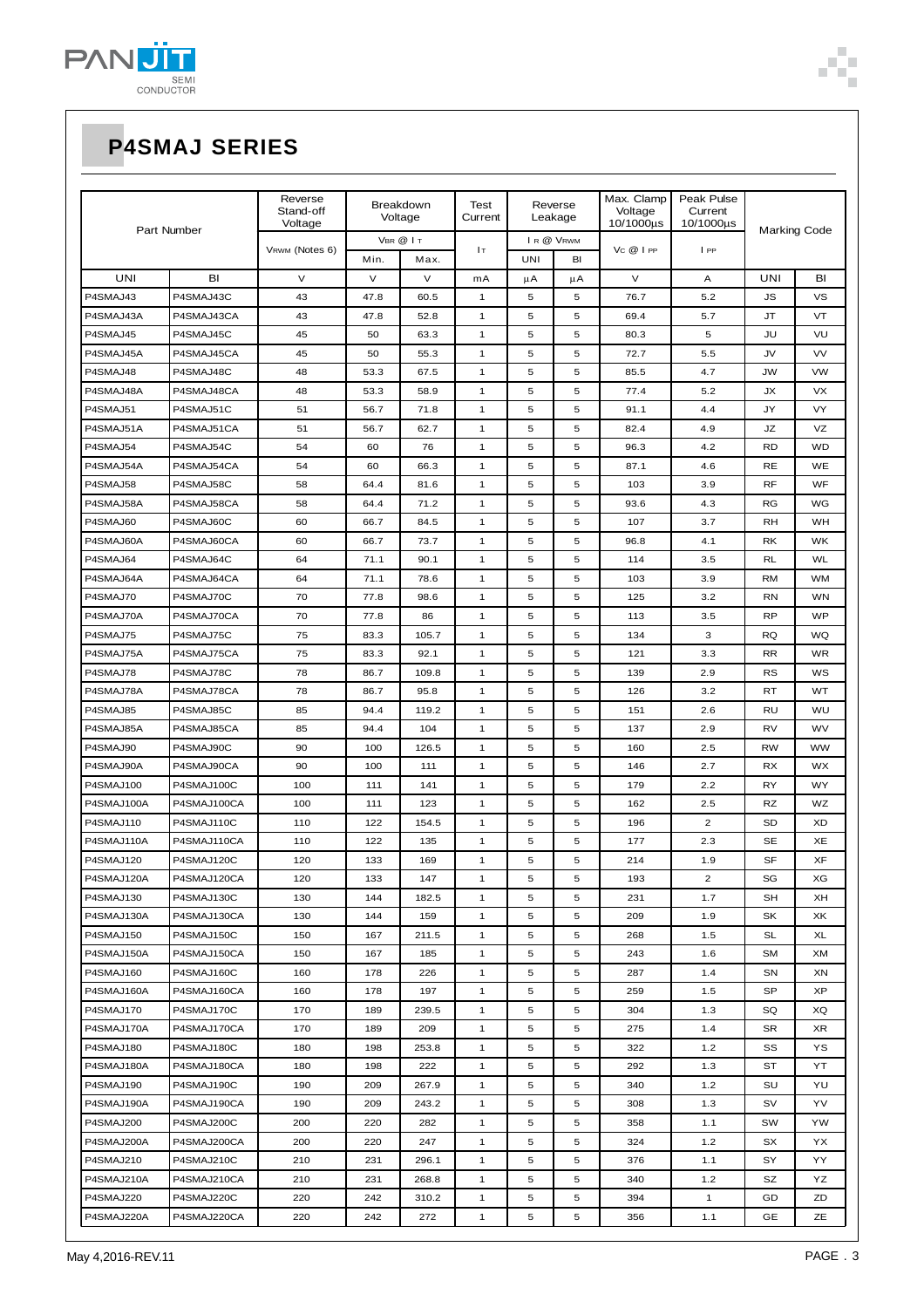

| Part Number |             | Reverse<br>Stand-off<br>Voltage | <b>Breakdown</b><br>Voltage |          | Test<br>Current | Reverse<br>Leakage |           | Max. Clamp<br>Voltage<br>10/1000µs | Peak Pulse<br>Current<br>10/1000us |                     |           |
|-------------|-------------|---------------------------------|-----------------------------|----------|-----------------|--------------------|-----------|------------------------------------|------------------------------------|---------------------|-----------|
|             |             | VRWM (Notes 6)                  |                             | VBR @ IT | Iт              |                    | IR @ VRWM | Vc @ I PP                          | IPP                                | <b>Marking Code</b> |           |
|             |             |                                 | Min.                        | Max.     |                 | UNI                | BI        |                                    |                                    |                     |           |
| <b>UNI</b>  | BI          | $\vee$                          | V                           | V        | mA              | μA                 | μA        | V                                  | Α                                  | UNI                 | BI        |
| P4SMAJ43    | P4SMAJ43C   | 43                              | 47.8                        | 60.5     | 1               | 5                  | 5         | 76.7                               | 5.2                                | <b>JS</b>           | <b>VS</b> |
| P4SMAJ43A   | P4SMAJ43CA  | 43                              | 47.8                        | 52.8     | 1               | 5                  | 5         | 69.4                               | 5.7                                | <b>JT</b>           | VT        |
| P4SMAJ45    | P4SMAJ45C   | 45                              | 50                          | 63.3     | $\mathbf{1}$    | 5                  | 5         | 80.3                               | 5                                  | JU                  | VU        |
| P4SMAJ45A   | P4SMAJ45CA  | 45                              | 50                          | 55.3     | 1               | 5                  | 5         | 72.7                               | 5.5                                | JV                  | <b>VV</b> |
| P4SMAJ48    | P4SMAJ48C   | 48                              | 53.3                        | 67.5     | 1               | 5                  | 5         | 85.5                               | 4.7                                | <b>JW</b>           | <b>VW</b> |
| P4SMAJ48A   | P4SMAJ48CA  | 48                              | 53.3                        | 58.9     | 1               | 5                  | 5         | 77.4                               | 5.2                                | JХ                  | <b>VX</b> |
| P4SMAJ51    | P4SMAJ51C   | 51                              | 56.7                        | 71.8     | 1               | 5                  | 5         | 91.1                               | 4.4                                | JY                  | <b>VY</b> |
| P4SMAJ51A   | P4SMAJ51CA  | 51                              | 56.7                        | 62.7     | 1               | 5                  | 5         | 82.4                               | 4.9                                | JZ                  | VZ        |
| P4SMAJ54    | P4SMAJ54C   | 54                              | 60                          | 76       | 1               | 5                  | 5         | 96.3                               | 4.2                                | <b>RD</b>           | <b>WD</b> |
| P4SMAJ54A   | P4SMAJ54CA  | 54                              | 60                          | 66.3     | 1               | 5                  | 5         | 87.1                               | 4.6                                | <b>RE</b>           | WE        |
| P4SMAJ58    | P4SMAJ58C   | 58                              | 64.4                        | 81.6     | $\mathbf{1}$    | 5                  | 5         | 103                                | 3.9                                | <b>RF</b>           | WF        |
| P4SMAJ58A   | P4SMAJ58CA  | 58                              | 64.4                        | 71.2     | $\mathbf{1}$    | 5                  | 5         | 93.6                               | 4.3                                | <b>RG</b>           | WG        |
| P4SMAJ60    | P4SMAJ60C   | 60                              | 66.7                        | 84.5     | $\mathbf{1}$    | 5                  | 5         | 107                                | 3.7                                | RH                  | WH        |
| P4SMAJ60A   | P4SMAJ60CA  | 60                              | 66.7                        | 73.7     | $\mathbf{1}$    | 5                  | 5         | 96.8                               | 4.1                                | <b>RK</b>           | <b>WK</b> |
| P4SMAJ64    | P4SMAJ64C   | 64                              | 71.1                        | 90.1     | $\mathbf{1}$    | 5                  | 5         | 114                                | 3.5                                | <b>RL</b>           | <b>WL</b> |
| P4SMAJ64A   | P4SMAJ64CA  | 64                              | 71.1                        | 78.6     | $\mathbf{1}$    | 5                  | 5         | 103                                | 3.9                                | <b>RM</b>           | <b>WM</b> |
| P4SMAJ70    | P4SMAJ70C   | 70                              | 77.8                        | 98.6     | $\mathbf{1}$    | 5                  | 5         | 125                                | 3.2                                | <b>RN</b>           | <b>WN</b> |
| P4SMAJ70A   | P4SMAJ70CA  | 70                              | 77.8                        | 86       | $\mathbf{1}$    | 5                  | 5         | 113                                | 3.5                                | RP                  | <b>WP</b> |
| P4SMAJ75    | P4SMAJ75C   | 75                              | 83.3                        | 105.7    | $\mathbf{1}$    | 5                  | 5         | 134                                | 3                                  | <b>RQ</b>           | WQ        |
| P4SMAJ75A   | P4SMAJ75CA  | 75                              | 83.3                        | 92.1     | $\mathbf{1}$    | 5                  | 5         | 121                                | 3.3                                | <b>RR</b>           | <b>WR</b> |
| P4SMAJ78    | P4SMAJ78C   | 78                              | 86.7                        | 109.8    | $\mathbf{1}$    | 5                  | 5         | 139                                | 2.9                                | RS                  | WS        |
| P4SMAJ78A   | P4SMAJ78CA  | 78                              | 86.7                        | 95.8     | $\mathbf{1}$    | 5                  | 5         | 126                                | 3.2                                | RT                  | WT        |
| P4SMAJ85    | P4SMAJ85C   | 85                              | 94.4                        | 119.2    | $\mathbf{1}$    | 5                  | 5         | 151                                | 2.6                                | RU                  | WU        |
| P4SMAJ85A   | P4SMAJ85CA  | 85                              | 94.4                        | 104      | $\mathbf{1}$    | 5                  | 5         | 137                                | 2.9                                | RV                  | <b>WV</b> |
| P4SMAJ90    | P4SMAJ90C   | 90                              | 100                         | 126.5    | 1               | 5                  | 5         | 160                                | 2.5                                | <b>RW</b>           | <b>WW</b> |
| P4SMAJ90A   | P4SMAJ90CA  | 90                              | 100                         | 111      | $\mathbf{1}$    | 5                  | 5         | 146                                | 2.7                                | RX                  | WX        |
| P4SMAJ100   | P4SMAJ100C  | 100                             | 111                         | 141      | $\mathbf{1}$    | 5                  | 5         | 179                                | 2.2                                | RY                  | WY        |
| P4SMAJ100A  | P4SMAJ100CA | 100                             | 111                         | 123      | $\mathbf{1}$    | 5                  | 5         | 162                                | 2.5                                | RZ                  | WZ        |
| P4SMAJ110   | P4SMAJ110C  | 110                             | 122                         | 154.5    | $\mathbf{1}$    | 5                  | 5         | 196                                | $\overline{2}$                     | <b>SD</b>           | XD        |
| P4SMAJ110A  | P4SMAJ110CA | 110                             | 122                         | 135      | $\mathbf{1}$    | 5                  | 5         | 177                                | 2.3                                | <b>SE</b>           | XE        |
| P4SMAJ120   | P4SMAJ120C  | 120                             | 133                         | 169      | $\mathbf{1}$    | 5                  | 5         | 214                                | 1.9                                | <b>SF</b>           | XF        |
| P4SMAJ120A  | P4SMAJ120CA | 120                             | 133                         | 147      | $\mathbf{1}$    | 5                  | 5         | 193                                | $\overline{c}$                     | SG                  | ХG        |
| P4SMAJ130   | P4SMAJ130C  | 130                             | 144                         | 182.5    | $\mathbf{1}$    | 5                  | 5         | 231                                | 1.7                                | SH                  | XH        |
| P4SMAJ130A  | P4SMAJ130CA | 130                             | 144                         | 159      | $\mathbf{1}$    | 5                  | 5         | 209                                | 1.9                                | SK                  | XK        |
| P4SMAJ150   | P4SMAJ150C  | 150                             | 167                         | 211.5    | 1               | 5                  | 5         | 268                                | 1.5                                | <b>SL</b>           | XL        |
| P4SMAJ150A  | P4SMAJ150CA | 150                             | 167                         | 185      | 1               | 5                  | 5         | 243                                | 1.6                                | <b>SM</b>           | XM        |
| P4SMAJ160   | P4SMAJ160C  | 160                             | 178                         | 226      | $\mathbf{1}$    | 5                  | 5         | 287                                | 1.4                                | SN                  | XN        |
| P4SMAJ160A  | P4SMAJ160CA | 160                             | 178                         | 197      | $\mathbf{1}$    | 5                  | 5         | 259                                | 1.5                                | SP                  | XP        |
| P4SMAJ170   | P4SMAJ170C  | 170                             | 189                         | 239.5    | 1               | 5                  | 5         | 304                                | 1.3                                | SQ                  | XQ        |
| P4SMAJ170A  | P4SMAJ170CA | 170                             | 189                         | 209      | 1               | 5                  | 5         | 275                                | 1.4                                | SR                  | XR        |
| P4SMAJ180   | P4SMAJ180C  | 180                             | 198                         | 253.8    | 1               | 5                  | 5         | 322                                | $1.2$                              | SS                  | ΥS        |
| P4SMAJ180A  | P4SMAJ180CA | 180                             | 198                         | 222      | 1               | 5                  | 5         | 292                                | 1.3                                | ST                  | YT        |
| P4SMAJ190   | P4SMAJ190C  | 190                             | 209                         | 267.9    | 1               | 5                  | 5         | 340                                | 1.2                                | SU                  | YU        |
| P4SMAJ190A  | P4SMAJ190CA | 190                             | 209                         | 243.2    | 1               | 5                  | 5         | 308                                | 1.3                                | SV                  | YV        |
| P4SMAJ200   | P4SMAJ200C  | 200                             | 220                         | 282      | 1               | 5                  | 5         | 358                                | 1.1                                | SW                  | YW        |
| P4SMAJ200A  | P4SMAJ200CA | 200                             | 220                         | 247      | 1               | 5                  | 5         | 324                                | 1.2                                | SX                  | YX        |
| P4SMAJ210   | P4SMAJ210C  | 210                             | 231                         | 296.1    | 1               | 5                  | 5         | 376                                | 1.1                                | SY                  | YY        |
| P4SMAJ210A  | P4SMAJ210CA | 210                             | 231                         | 268.8    | 1               | 5                  | 5         | 340                                | 1.2                                | SZ                  | YZ        |
| P4SMAJ220   | P4SMAJ220C  | 220                             | 242                         | 310.2    | 1               | 5                  | 5         | 394                                | 1                                  | GD                  | ZD        |
| P4SMAJ220A  | P4SMAJ220CA | 220                             | 242                         | 272      | $\mathbf{1}$    | 5                  | 5         | 356                                | 1.1                                | GE                  | ZΕ        |

٠ Ì.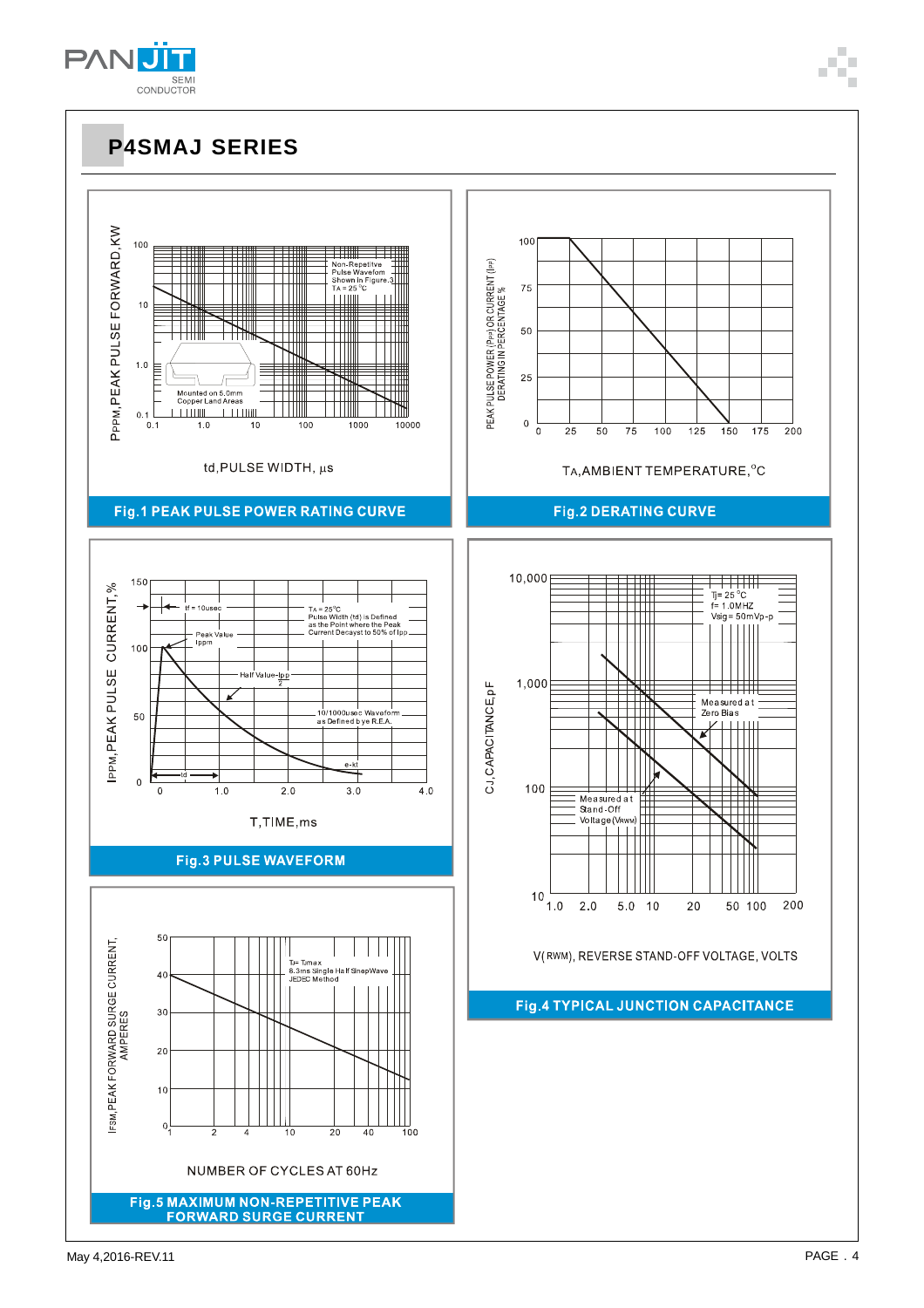May 4.2016-REV.11 **PAGE .4** 







**P4SMAJ SERIES**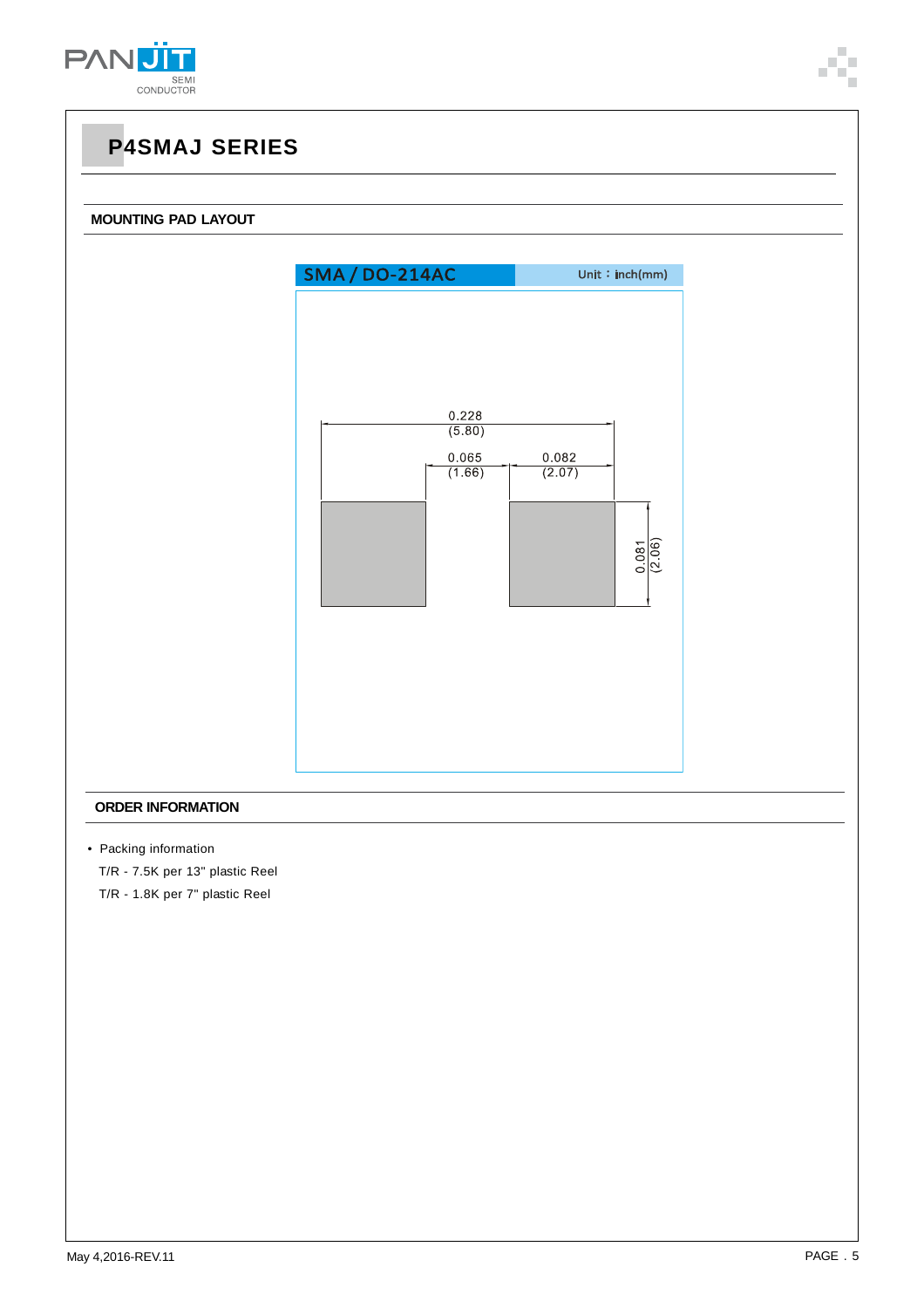

#### **MOUNTING PAD LAYOUT**



#### **ORDER INFORMATION**

• Packing information

T/R - 7.5K per 13" plastic Reel

T/R - 1.8K per 7" plastic Reel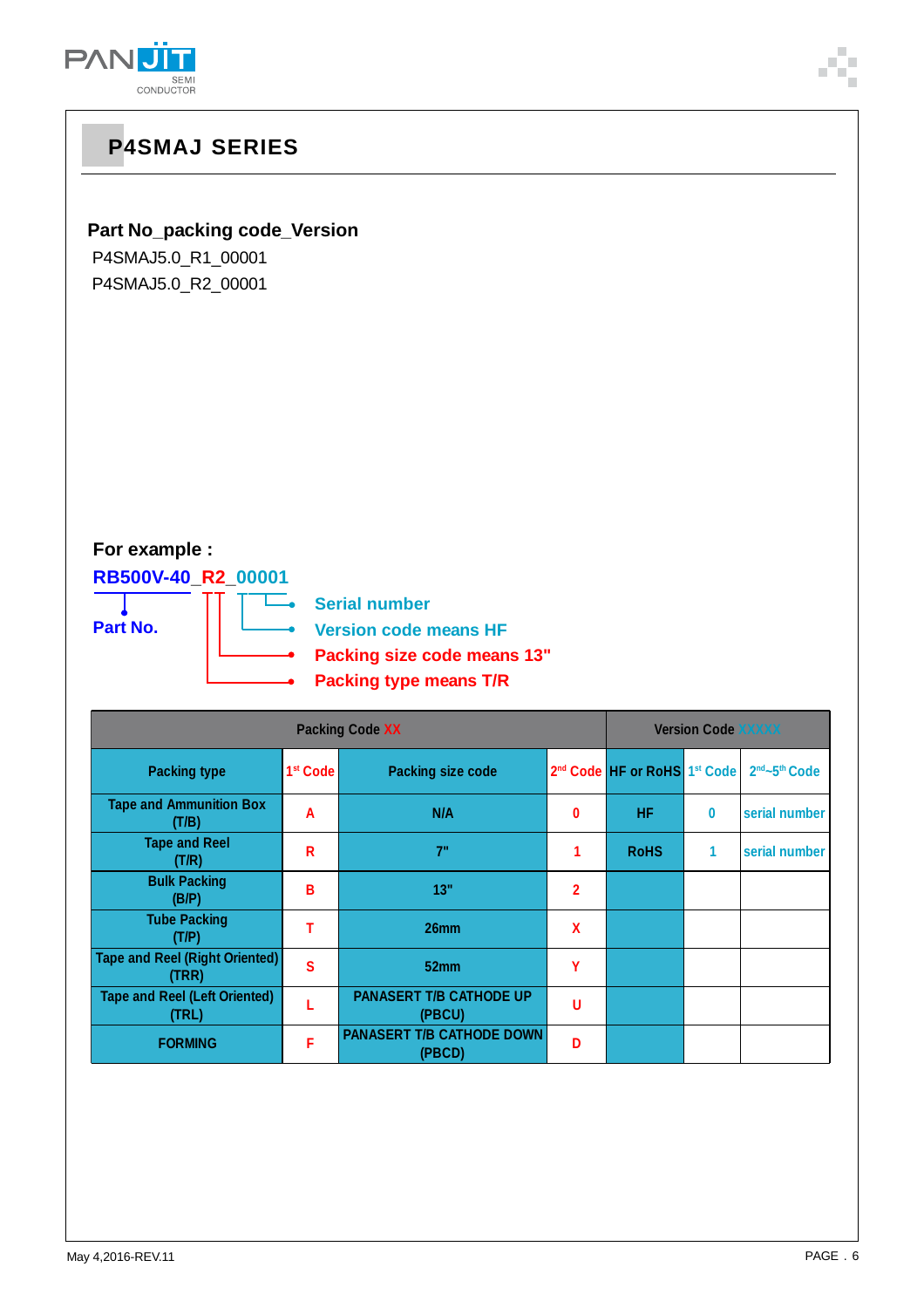

### **Part No\_packing code\_Version**

P4SMAJ5.0\_R1\_00001 P4SMAJ5.0\_R2\_00001

### **For example :**

**RB500V-40\_R2\_00001**

**Part No.**

—<br>
Serial number

**Version code means HF**

- **Packing size code means 13"**
- **Packing type means T/R**

|                                                | <b>Version Code XXXXX</b> |                                            |                |                                                      |          |                                       |
|------------------------------------------------|---------------------------|--------------------------------------------|----------------|------------------------------------------------------|----------|---------------------------------------|
| <b>Packing type</b>                            | 1 <sup>st</sup> Code      | <b>Packing size code</b>                   |                | 2 <sup>nd</sup> Code HF or RoHS 1 <sup>st</sup> Code |          | 2 <sup>nd</sup> ~5 <sup>th</sup> Code |
| <b>Tape and Ammunition Box</b><br>(T/B)        | A                         | N/A                                        | 0              | <b>HF</b>                                            | $\bf{0}$ | serial number                         |
| <b>Tape and Reel</b><br>(T/R)                  | R                         | 7"                                         |                | <b>RoHS</b>                                          | 1        | serial number                         |
| <b>Bulk Packing</b><br>(B/P)                   | в                         | 13"                                        | $\overline{2}$ |                                                      |          |                                       |
| <b>Tube Packing</b><br>(T/P)                   |                           | 26mm                                       | X              |                                                      |          |                                       |
| <b>Tape and Reel (Right Oriented)</b><br>(TRR) | S                         | 52 <sub>mm</sub>                           | Υ              |                                                      |          |                                       |
| <b>Tape and Reel (Left Oriented)</b><br>(TRL)  |                           | <b>PANASERT T/B CATHODE UP</b><br>(PBCU)   | u              |                                                      |          |                                       |
| <b>FORMING</b>                                 | F                         | <b>PANASERT T/B CATHODE DOWN</b><br>(PBCD) | D              |                                                      |          |                                       |